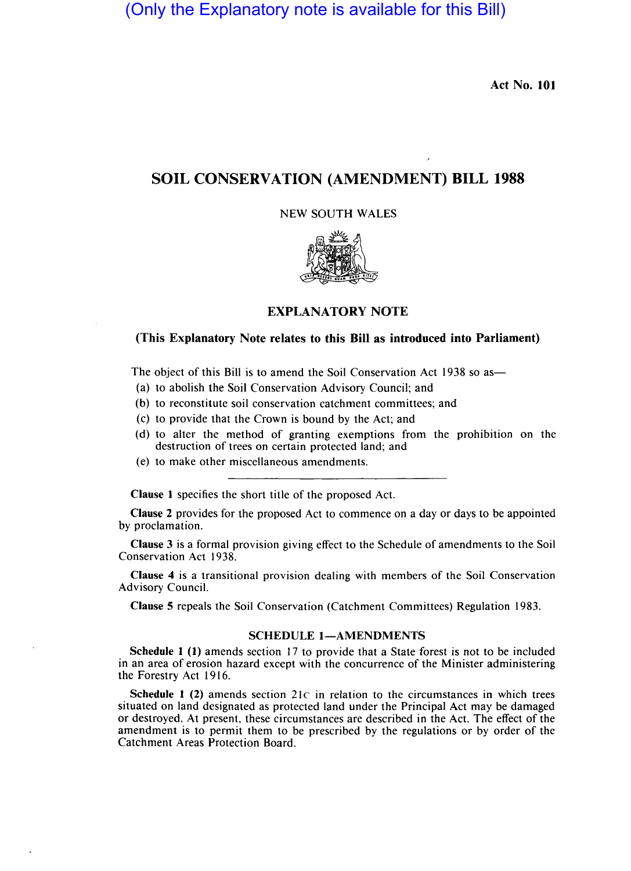(Only the Explanatory note is available for this Bill)

Act No. 101

# SOIL CONSERVATION (AMENDMENT) BILL 1988

## NEW SOUTH WALES



## EXPLANATORY NOTE

### (This Explanatory Note relates to this Bill as introduced into Parliament)

The object of this Bill is to amend the Soil Conservation Act 1938 so as—

- (a) to abolish the Soil Conservation Advisory Council; and
- (b) to reconstitute soil conservation catchment committees; and
- (c) to provide that the Crown is bound by the Act; and
- (d) to alter the method of granting exemptions from the prohibition on the destruction of trees on certain protected land; and
- (e) to make other miscellaneous amendments.

Clause I specifies the short title of the proposed Act.

Clause 2 provides for the proposed Act to commence on a day or days to be appointed by proclamation.

Clause 3 is a formal provision giving effect to the Schedule of amendments to the Soil Conservation Act 1938.

Clause 4 is a transitional provision dealing with members of the Soil Conservation Advisory Council.

Clause 5 repeals the Soil Conservation (Catchment Committees) Regulation 1983.

### SCHEDULE 1-AMENDMENTS

Schedule I (1) amends section 17 to provide that a State forest is not to be included in an area of erosion hazard except with the concurrence of the Minister administering the Forestry Act 1916.

Schedule 1 (2) amends section  $21c$  in relation to the circumstances in which trees situated on land designated as protected land under the Principal Act may be damaged or destroyed. At present, these circumstances are described in the Act. The effect of the amendment is to permit them to be prescribed by the regulations or by order of the Catchment Areas Protection Board.